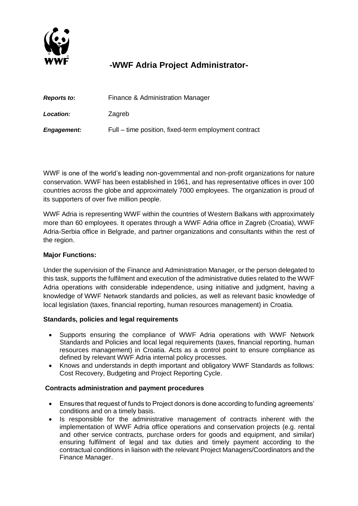

# **-WWF Adria Project Administrator-**

| Reports to:        | Finance & Administration Manager                     |
|--------------------|------------------------------------------------------|
| Location:          | Zagreb                                               |
| <b>Engagement:</b> | Full – time position, fixed-term employment contract |

WWF is one of the world's leading non-governmental and non-profit organizations for nature conservation. WWF has been established in 1961, and has representative offices in over 100 countries across the globe and approximately 7000 employees. The organization is proud of its supporters of over five million people.

WWF Adria is representing WWF within the countries of Western Balkans with approximately more than 60 employees. It operates through a WWF Adria office in Zagreb (Croatia), WWF Adria-Serbia office in Belgrade, and partner organizations and consultants within the rest of the region.

## **Major Functions:**

Under the supervision of the Finance and Administration Manager, or the person delegated to this task, supports the fulfilment and execution of the administrative duties related to the WWF Adria operations with considerable independence, using initiative and judgment, having a knowledge of WWF Network standards and policies, as well as relevant basic knowledge of local legislation (taxes, financial reporting, human resources management) in Croatia.

### **Standards, policies and legal requirements**

- Supports ensuring the compliance of WWF Adria operations with WWF Network Standards and Policies and local legal requirements (taxes, financial reporting, human resources management) in Croatia. Acts as a control point to ensure compliance as defined by relevant WWF Adria internal policy processes.
- Knows and understands in depth important and obligatory WWF Standards as follows: Cost Recovery, Budgeting and Project Reporting Cycle.

## **Contracts administration and payment procedures**

- Ensures that request of funds to Project donors is done according to funding agreements' conditions and on a timely basis.
- Is responsible for the administrative management of contracts inherent with the implementation of WWF Adria office operations and conservation projects (e.g. rental and other service contracts, purchase orders for goods and equipment, and similar) ensuring fulfilment of legal and tax duties and timely payment according to the contractual conditions in liaison with the relevant Project Managers/Coordinators and the Finance Manager.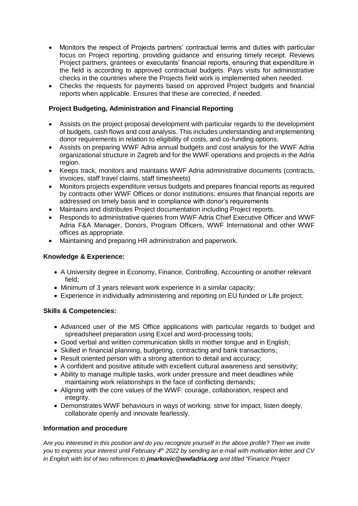- Monitors the respect of Projects partners' contractual terms and duties with particular focus on Project reporting, providing guidance and ensuring timely receipt. Reviews Project partners, grantees or executants' financial reports, ensuring that expenditure in the field is according to approved contractual budgets. Pays visits for administrative checks in the countries where the Projects field work is implemented when needed.
- Checks the requests for payments based on approved Project budgets and financial reports when applicable. Ensures that these are corrected, if needed.

## **Project Budgeting, Administration and Financial Reporting**

- Assists on the project proposal development with particular regards to the development of budgets, cash flows and cost analysis. This includes understanding and implementing donor requirements in relation to eligibility of costs, and co-funding options.
- Assists on preparing WWF Adria annual budgets and cost analysis for the WWF Adria organizational structure in Zagreb and for the WWF operations and projects in the Adria region.
- Keeps track, monitors and maintains WWF Adria administrative documents (contracts, invoices, staff travel claims, staff timesheets)
- Monitors projects expenditure versus budgets and prepares financial reports as required by contracts other WWF Offices or donor institutions; ensures that financial reports are addressed on timely basis and in compliance with donor's requirements
- Maintains and distributes Project documentation including Project reports.
- Responds to administrative queries from WWF Adria Chief Executive Officer and WWF Adria F&A Manager, Donors, Program Officers, WWF International and other WWF offices as appropriate.
- Maintaining and preparing HR administration and paperwork.

## **Knowledge & Experience:**

- A University degree in Economy, Finance, Controlling, Accounting or another relevant field;
- Minimum of 3 years relevant work experience in a similar capacity;
- Experience in individually administering and reporting on EU funded or Life project;

### **Skills & Competencies:**

- Advanced user of the MS Office applications with particular regards to budget and spreadsheet preparation using Excel and word-processing tools;
- Good verbal and written communication skills in mother tongue and in English;
- Skilled in financial planning, budgeting, contracting and bank transactions;
- Result oriented person with a strong attention to detail and accuracy;
- A confident and positive attitude with excellent cultural awareness and sensitivity;
- Ability to manage multiple tasks, work under pressure and meet deadlines while maintaining work relationships in the face of conflicting demands;
- Aligning with the core values of the WWF: courage, collaboration, respect and integrity.
- Demonstrates WWF behaviours in ways of working: strive for impact, listen deeply, collaborate openly and innovate fearlessly.

### **Information and procedure**

*Are you interested in this position and do you recognize yourself in the above profile? Then we invite you to express your interest until February 4 th 2022 by sending an e-mail with motivation letter and CV in English with list of two references to jmarkovic@wwfadria.org and titled "Finance Project*